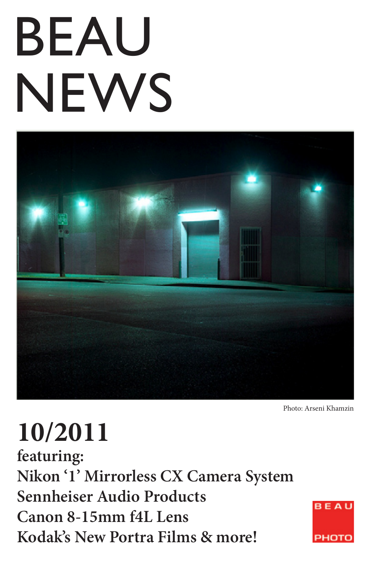# BEAU **NEWS**



Photo: Arseni Khamzin

# **10/2011**

**featuring: Nikon '1' Mirrorless CX Camera System Sennheiser Audio Products Canon 8-15mm f4L Lens Kodak's New Portra Films & more!**

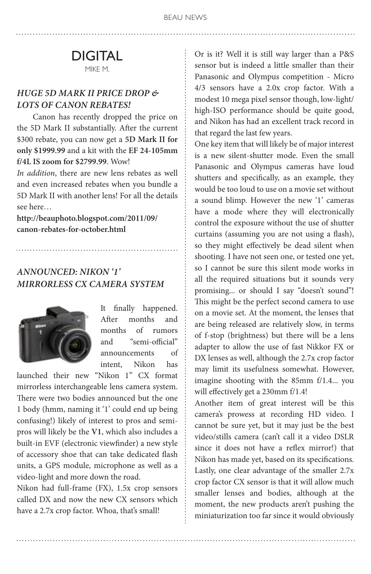#### DIGITAL MIKE M.

#### *HUGE 5D Mark II price drop & lots of Canon rebates!*

Canon has recently dropped the price on the 5D Mark II substantially. After the current \$300 rebate, you can now get a **5D Mark II for only \$1999.99** and a kit with the **EF 24-105mm f/4L IS zoom for \$2799.99**. Wow!

*In addition*, there are new lens rebates as well and even increased rebates when you bundle a 5D Mark II with another lens! For all the details see here…

**http://beauphoto.blogspot.com/2011/09/ canon-rebates-for-october.html**

#### *Announced: Nikon '1' Mirrorless CX Camera System*



It finally happened. After months and months of rumors and "semi-official" announcements of intent, Nikon has

launched their new "Nikon 1" CX format mirrorless interchangeable lens camera system. There were two bodies announced but the one 1 body (hmm, naming it '1' could end up being confusing!) likely of interest to pros and semipros will likely be the **V1**, which also includes a built-in EVF (electronic viewfinder) a new style of accessory shoe that can take dedicated flash units, a GPS module, microphone as well as a video-light and more down the road.

Nikon had full-frame (FX), 1.5x crop sensors called DX and now the new CX sensors which have a 2.7x crop factor. Whoa, that's small!

Or is it? Well it is still way larger than a P&S sensor but is indeed a little smaller than their Panasonic and Olympus competition - Micro 4/3 sensors have a 2.0x crop factor. With a modest 10 mega pixel sensor though, low-light/ high-ISO performance should be quite good, and Nikon has had an excellent track record in that regard the last few years.

One key item that will likely be of major interest is a new silent-shutter mode. Even the small Panasonic and Olympus cameras have loud shutters and specifically, as an example, they would be too loud to use on a movie set without a sound blimp. However the new '1' cameras have a mode where they will electronically control the exposure without the use of shutter curtains (assuming you are not using a flash), so they might effectively be dead silent when shooting. I have not seen one, or tested one yet, so I cannot be sure this silent mode works in all the required situations but it sounds very promising... or should I say "doesn't sound"! This might be the perfect second camera to use on a movie set. At the moment, the lenses that are being released are relatively slow, in terms of f-stop (brightness) but there will be a lens adapter to allow the use of fast Nikkor FX or DX lenses as well, although the 2.7x crop factor may limit its usefulness somewhat. However, imagine shooting with the 85mm f/1.4... you will effectively get a 230mm f/1.4!

Another item of great interest will be this camera's prowess at recording HD video. I cannot be sure yet, but it may just be the best video/stills camera (can't call it a video DSLR since it does not have a reflex mirror!) that Nikon has made yet, based on its specifications. Lastly, one clear advantage of the smaller 2.7x crop factor CX sensor is that it will allow much smaller lenses and bodies, although at the moment, the new products aren't pushing the miniaturization too far since it would obviously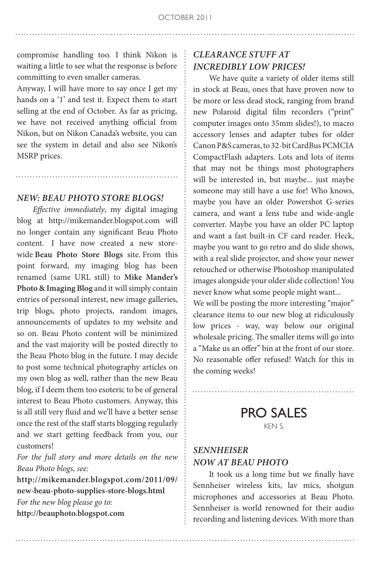compromise handling too. I think Nikon is waiting a little to see what the response is before committing to even smaller cameras.

Anyway, I will have more to say once I get my hands on a '1' and test it. Expect them to start selling at the end of October. As far as pricing, we have not received anything official from Nikon, but on Nikon Canada's website, you can see the system in detail and also see Nikon's MSRP prices.

#### *NEW: Beau Photo Store Blogs!*

*Effective immediately*, my digital imaging blog at http://mikemander.blogspot.com will no longer contain any significant Beau Photo content. I have now created a new storewide **Beau Photo Store Blogs** site. From this point forward, my imaging blog has been renamed (same URL still) to **Mike Mander's Photo & Imaging Blog** and it will simply contain entries of personal interest, new image galleries, trip blogs, photo projects, random images, announcements of updates to my website and so on. Beau Photo content will be minimized and the vast majority will be posted directly to the Beau Photo blog in the future. I may decide to post some technical photography articles on my own blog as well, rather than the new Beau blog, if I deem them too esoteric to be of general interest to Beau Photo customers. Anyway, this is all still very fluid and we'll have a better sense once the rest of the staff starts blogging regularly and we start getting feedback from you, our customers!

*For the full story and more details on the new Beau Photo blogs, see:* 

**http://mikemander.blogspot.com/2011/09/ new-beau-photo-supplies-store-blogs.html** *For the new blog please go to:* **http://beauphoto.blogspot.com**

#### *Clearance Stuff at incredibly low prices!*

We have quite a variety of older items still in stock at Beau, ones that have proven now to be more or less dead stock, ranging from brand new Polaroid digital film recorders ("print" computer images onto 35mm slides!), to macro accessory lenses and adapter tubes for older Canon P&S cameras, to 32-bit CardBus PCMCIA CompactFlash adapters. Lots and lots of items that may not be things most photographers will be interested in, but maybe... just maybe someone may still have a use for! Who knows, maybe you have an older Powershot G-series camera, and want a lens tube and wide-angle converter. Maybe you have an older PC laptop and want a fast built-in CF card reader. Heck, maybe you want to go retro and do slide shows, with a real slide projector, and show your newer retouched or otherwise Photoshop manipulated images alongside your older slide collection! You never know what some people might want...

We will be posting the more interesting "major" clearance items to our new blog at ridiculously low prices - way, way below our original wholesale pricing. The smaller items will go into a "Make us an offer" bin at the front of our store. No reasonable offer refused! Watch for this in the coming weeks!

> PRO SALES KEN S.

#### *Sennheiser now at Beau Photo*

It took us a long time but we finally have Sennheiser wireless kits, lav mics, shotgun microphones and accessories at Beau Photo. Sennheiser is world renowned for their audio recording and listening devices. With more than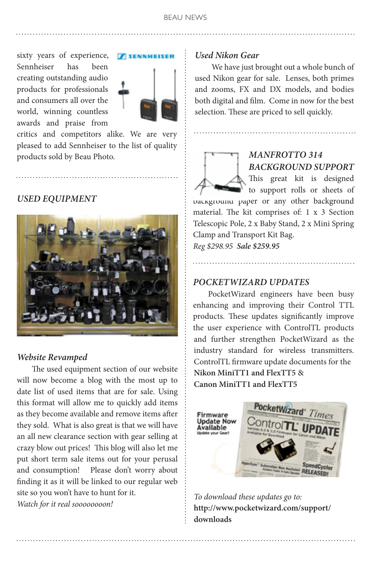sixty years of experience, Sennheiser has been creating outstanding audio products for professionals and consumers all over the world, winning countless awards and praise from



critics and competitors alike. We are very pleased to add Sennheiser to the list of quality products sold by Beau Photo.

*USED EQUIPMENT*



#### *Website Revamped*

 The used equipment section of our website will now become a blog with the most up to date list of used items that are for sale. Using this format will allow me to quickly add items as they become available and remove items after they sold. What is also great is that we will have an all new clearance section with gear selling at crazy blow out prices! This blog will also let me put short term sale items out for your perusal and consumption! Please don't worry about finding it as it will be linked to our regular web site so you won't have to hunt for it. *Watch for it real soooooooon!*

#### *Used Nikon Gear*

 We have just brought out a whole bunch of used Nikon gear for sale. Lenses, both primes and zooms, FX and DX models, and bodies both digital and film. Come in now for the best selection. These are priced to sell quickly.

#### *Manfrotto 314 Background support*  This great kit is designed

to support rolls or sheets of background paper or any other background material. The kit comprises of: 1 x 3 Section Telescopic Pole, 2 x Baby Stand, 2 x Mini Spring Clamp and Transport Kit Bag.

*Reg \$298.95 Sale \$259.95*

#### *PocketWizard Updates*

 PocketWizard engineers have been busy enhancing and improving their Control TTL products. These updates significantly improve the user experience with ControlTL products and further strengthen PocketWizard as the industry standard for wireless transmitters. ControlTL firmware update documents for the **Nikon MiniTT1 and FlexTT5** & **Canon MiniTT1 and FlexTT5**



*To download these updates go to:* **http://www.pocketwizard.com/support/ downloads**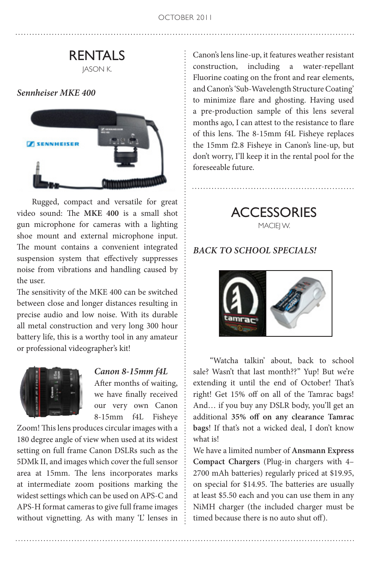#### RENTALS JASON K.

#### *Sennheiser MKE 400*



 Rugged, compact and versatile for great video sound: The **MKE 400** is a small shot gun microphone for cameras with a lighting shoe mount and external microphone input. The mount contains a convenient integrated suspension system that effectively suppresses noise from vibrations and handling caused by the user.

The sensitivity of the MKE 400 can be switched between close and longer distances resulting in precise audio and low noise. With its durable all metal construction and very long 300 hour battery life, this is a worthy tool in any amateur or professional videographer's kit!



#### *Canon 8-15mm f4L*

After months of waiting, we have finally received our very own Canon 8-15mm f4L Fisheye

Zoom! This lens produces circular images with a 180 degree angle of view when used at its widest setting on full frame Canon DSLRs such as the 5DMk II, and images which cover the full sensor area at 15mm. The lens incorporates marks at intermediate zoom positions marking the widest settings which can be used on APS-C and APS-H format cameras to give full frame images without vignetting. As with many 'L' lenses in

Canon's lens line-up, it features weather resistant construction, including a water-repellant Fluorine coating on the front and rear elements, and Canon's 'Sub-Wavelength Structure Coating' to minimize flare and ghosting. Having used a pre-production sample of this lens several months ago, I can attest to the resistance to flare of this lens. The 8-15mm f4L Fisheye replaces the 15mm f2.8 Fisheye in Canon's line-up, but don't worry, I'll keep it in the rental pool for the foreseeable future.

> **ACCESSORIES** MACIEJ W.

#### *BACK TO SCHOOL Specials!*



"Watcha talkin' about, back to school sale? Wasn't that last month??" Yup! But we're extending it until the end of October! That's right! Get 15% off on all of the Tamrac bags! And… if you buy any DSLR body, you'll get an additional **35% off on any clearance Tamrac bags**! If that's not a wicked deal, I don't know what is!

We have a limited number of **Ansmann Express Compact Chargers** (Plug-in chargers with 4– 2700 mAh batteries) regularly priced at \$19.95, on special for \$14.95. The batteries are usually at least \$5.50 each and you can use them in any NiMH charger (the included charger must be timed because there is no auto shut off).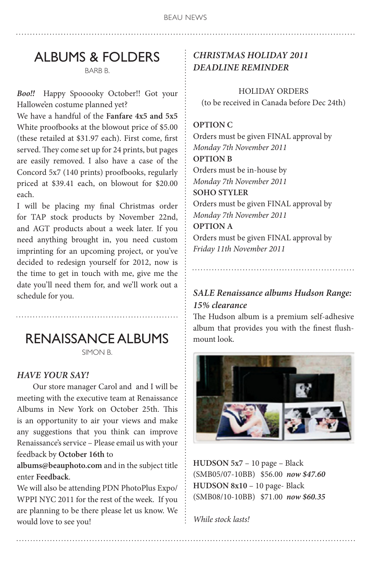# ALBUMS & FOLDERS

BARB B.

*Boo!!* Happy Spooooky October!! Got your Hallowe'en costume planned yet?

We have a handful of the **Fanfare 4x5 and 5x5**  White proofbooks at the blowout price of \$5.00 (these retailed at \$31.97 each). First come, first served. They come set up for 24 prints, but pages are easily removed. I also have a case of the Concord 5x7 (140 prints) proofbooks, regularly priced at \$39.41 each, on blowout for \$20.00 each.

I will be placing my final Christmas order for TAP stock products by November 22nd, and AGT products about a week later. If you need anything brought in, you need custom imprinting for an upcoming project, or you've decided to redesign yourself for 2012, now is the time to get in touch with me, give me the date you'll need them for, and we'll work out a schedule for you.

RENAISSANCE ALBUMS

SIMON B.

#### *HAVE YOUR SAY!*

Our store manager Carol and and I will be meeting with the executive team at Renaissance Albums in New York on October 25th. This is an opportunity to air your views and make any suggestions that you think can improve Renaissance's service – Please email us with your feedback by **October 16th** to

**albums@beauphoto.com** and in the subject title enter **Feedback**.

We will also be attending PDN PhotoPlus Expo/ WPPI NYC 2011 for the rest of the week. If you are planning to be there please let us know. We would love to see you!

#### *Christmas Holiday 2011 Deadline reminder*

HOLIDAY ORDERS (to be received in Canada before Dec 24th)

#### **OPTION C**

Orders must be given FINAL approval by *Monday 7th November 2011* **OPTION B** Orders must be in-house by *Monday 7th November 2011* **SOHO STYLER**  Orders must be given FINAL approval by *Monday 7th November 2011* **OPTION A** Orders must be given FINAL approval by *Friday 11th November 2011*

#### *Sale Renaissance albums Hudson Range: 15% clearance*

The Hudson album is a premium self-adhesive album that provides you with the finest flushmount look.



**HUDSON 5x7** – 10 page – Black (SMB05/07-10BB) \$56.00 *now \$47.60* **HUDSON 8x10** – 10 page- Black (SMB08/10-10BB) \$71.00 *now \$60.35*

*While stock lasts!*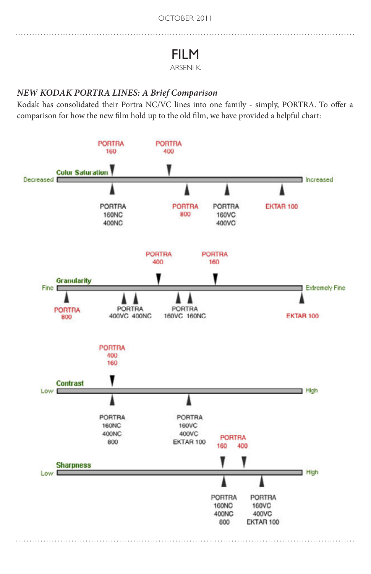## FILM

#### ARSENI K.

#### *NEW KODAK PORTRA LINES: A Brief Comparison*

Kodak has consolidated their Portra NC/VC lines into one family - simply, PORTRA. To offer a comparison for how the new film hold up to the old film, we have provided a helpful chart: